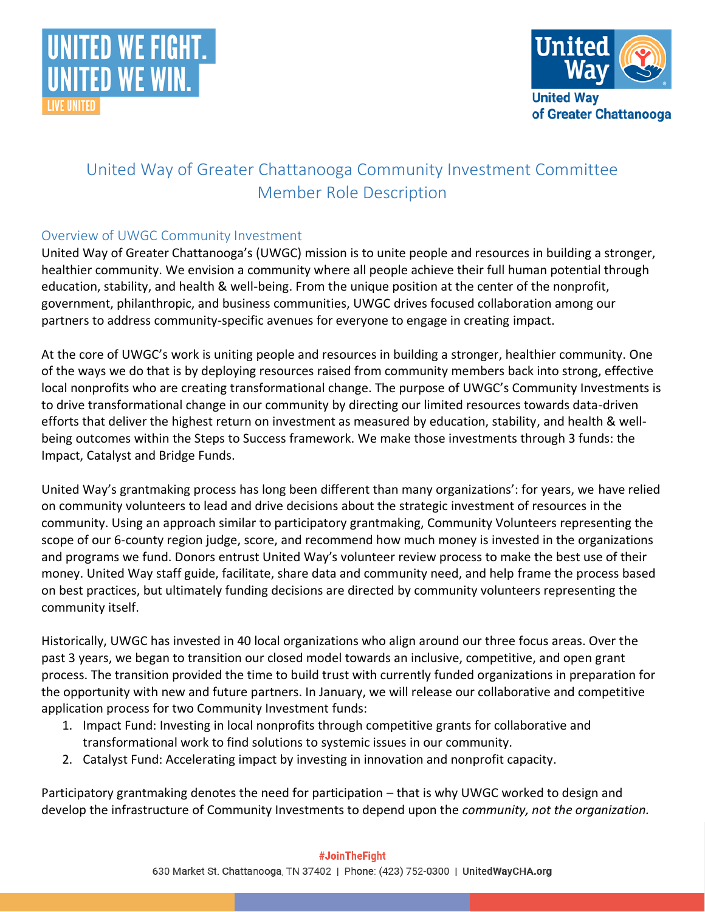



# United Way of Greater Chattanooga Community Investment Committee Member Role Description

## Overview of UWGC Community Investment

United Way of Greater Chattanooga's (UWGC) mission is to unite people and resources in building a stronger, healthier community. We envision a community where all people achieve their full human potential through education, stability, and health & well-being. From the unique position at the center of the nonprofit, government, philanthropic, and business communities, UWGC drives focused collaboration among our partners to address community-specific avenues for everyone to engage in creating impact.

At the core of UWGC's work is uniting people and resources in building a stronger, healthier community. One of the ways we do that is by deploying resources raised from community members back into strong, effective local nonprofits who are creating transformational change. The purpose of UWGC's Community Investments is to drive transformational change in our community by directing our limited resources towards data-driven efforts that deliver the highest return on investment as measured by education, stability, and health & wellbeing outcomes within the Steps to Success framework. We make those investments through 3 funds: the Impact, Catalyst and Bridge Funds.

United Way's grantmaking process has long been different than many organizations': for years, we have relied on community volunteers to lead and drive decisions about the strategic investment of resources in the community. Using an approach similar to participatory grantmaking, Community Volunteers representing the scope of our 6-county region judge, score, and recommend how much money is invested in the organizations and programs we fund. Donors entrust United Way's volunteer review process to make the best use of their money. United Way staff guide, facilitate, share data and community need, and help frame the process based on best practices, but ultimately funding decisions are directed by community volunteers representing the community itself.

Historically, UWGC has invested in 40 local organizations who align around our three focus areas. Over the past 3 years, we began to transition our closed model towards an inclusive, competitive, and open grant process. The transition provided the time to build trust with currently funded organizations in preparation for the opportunity with new and future partners. In January, we will release our collaborative and competitive application process for two Community Investment funds:

- 1. Impact Fund: Investing in local nonprofits through competitive grants for collaborative and transformational work to find solutions to systemic issues in our community.
- 2. Catalyst Fund: Accelerating impact by investing in innovation and nonprofit capacity.

Participatory grantmaking denotes the need for participation – that is why UWGC worked to design and develop the infrastructure of Community Investments to depend upon the *community, not the organization.*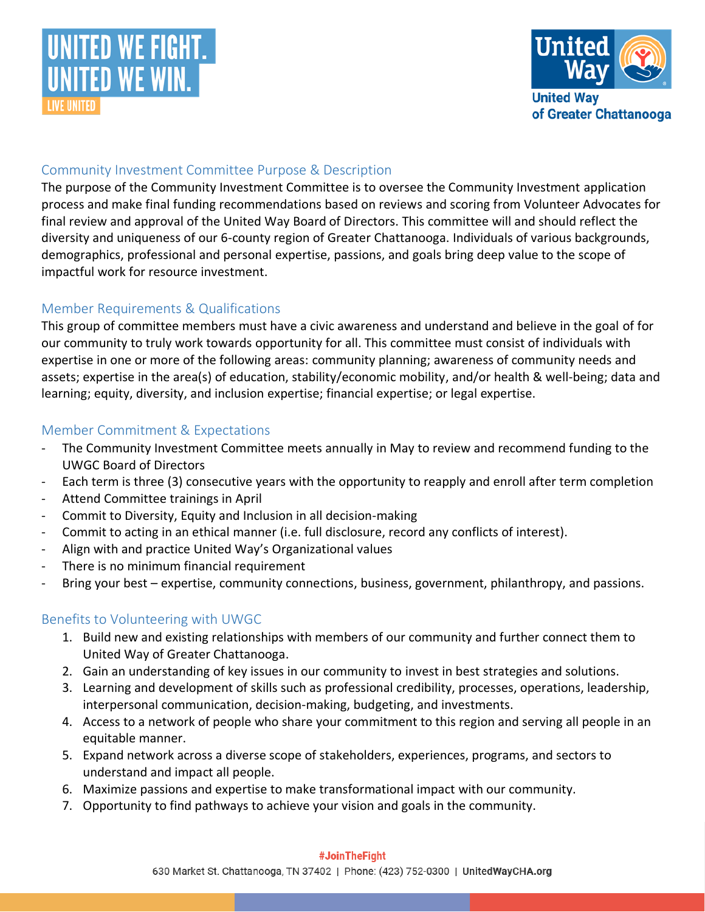



### Community Investment Committee Purpose & Description

The purpose of the Community Investment Committee is to oversee the Community Investment application process and make final funding recommendations based on reviews and scoring from Volunteer Advocates for final review and approval of the United Way Board of Directors. This committee will and should reflect the diversity and uniqueness of our 6-county region of Greater Chattanooga. Individuals of various backgrounds, demographics, professional and personal expertise, passions, and goals bring deep value to the scope of impactful work for resource investment.

### Member Requirements & Qualifications

This group of committee members must have a civic awareness and understand and believe in the goal of for our community to truly work towards opportunity for all. This committee must consist of individuals with expertise in one or more of the following areas: community planning; awareness of community needs and assets; expertise in the area(s) of education, stability/economic mobility, and/or health & well-being; data and learning; equity, diversity, and inclusion expertise; financial expertise; or legal expertise.

### Member Commitment & Expectations

- The Community Investment Committee meets annually in May to review and recommend funding to the UWGC Board of Directors
- Each term is three (3) consecutive years with the opportunity to reapply and enroll after term completion
- Attend Committee trainings in April
- Commit to Diversity, Equity and Inclusion in all decision-making
- Commit to acting in an ethical manner (i.e. full disclosure, record any conflicts of interest).
- Align with and practice United Way's Organizational values
- There is no minimum financial requirement
- Bring your best expertise, community connections, business, government, philanthropy, and passions.

## Benefits to Volunteering with UWGC

- 1. Build new and existing relationships with members of our community and further connect them to United Way of Greater Chattanooga.
- 2. Gain an understanding of key issues in our community to invest in best strategies and solutions.
- 3. Learning and development of skills such as professional credibility, processes, operations, leadership, interpersonal communication, decision-making, budgeting, and investments.
- 4. Access to a network of people who share your commitment to this region and serving all people in an equitable manner.
- 5. Expand network across a diverse scope of stakeholders, experiences, programs, and sectors to understand and impact all people.
- 6. Maximize passions and expertise to make transformational impact with our community.
- 7. Opportunity to find pathways to achieve your vision and goals in the community.

#### #JoinTheFight

630 Market St. Chattanooga, TN 37402 | Phone: (423) 752-0300 | UnitedWayCHA.org